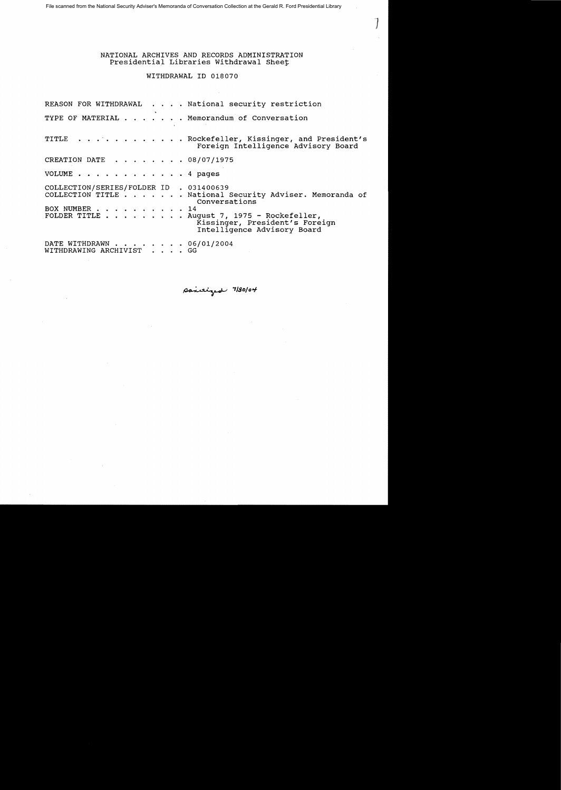File scanned from the National Security Adviser's Memoranda of Conversation Collection at the Gerald R. Ford Presidential Library

NATIONAL ARCHIVES AND RECORDS ADMINISTRATION Presidential Libraries Withdrawal Sheet

 $J^-$ 

WITHDRAWAL ID 018070

REASON FOR WITHDRAWAL . . . . National security restriction TYPE OF MATERIAL . . . . . . Memorandum of Conversation TITLE . . . . . . . . . . . Rockefeller, Kissinger, and President's Foreign Intelligence Advisory Board CREATION DATE  $\cdot \cdot \cdot \cdot \cdot \cdot 08/07/1975$ VOLUME . . . . . . . . . . . . 4 pages COLLECTION/SERIES/FOLDER 1D . 031400639 .... National Security Adviser. Memoranda of Conversations BOX NUMBER . . . . . . . . . . 14<br>FOLDER TITLE . . . . . . . . Au  $\cdots$   $\cdots$  . . . August 7, 1975 - Rockefeller, Kissinger, President's Foreign Intelligence Advisory Board DATE WITHDRAWN . . . . . . . . 06/01/2004<br>WITHDRAWING ARCHIVIST . . . . GG WITHDRAWING ARCHIVIST

paritized 7/30/04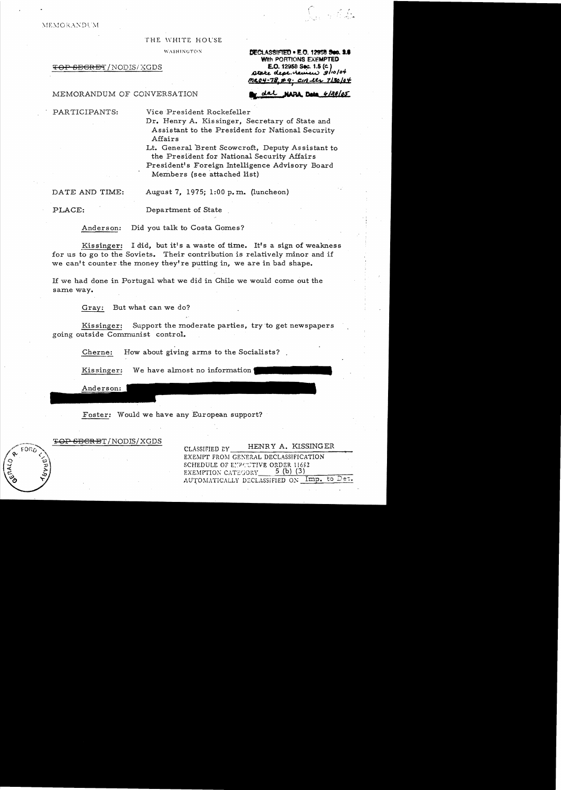**MEMORANDUM** 

#### THE WHITE HOl'SE

WASHINGTON.

## <del>TOP SEGRET</del>/NODIS/XGDS

**EXECLASSIFIED . E.O. 12958 Sec. 1.6** WIth PORTIONS EXEMPTED £.0.12958 Sec. 1.5 *(Co)*   $\omega$ tate dept. hennew  $s$ 10/04 *m&i!l-7"-'i'* CI'i...tt;- *71.\$91'1* <sup>I</sup>

## MEMORANDUM OF CONVERSATION **\*\*\*** dal **nama Deta** *4/38/05*

PARTICIPANTS: Vice President Rockefeller

Dr. Henry A. Kissinger, Secretary of State and Assistant to the President for National Security Affairs

Lt. General Brent Scowcroft, Deputy Assistant to the President for National Security Affairs President's Foreign Intelligence Advisory Board

Members (see attached list)

DATE AND TIME: August 7, 1975; 1:00 p. m. (luncheon)

PLACE: Department of State

Anderson: Did you talk to Costa Gomes?

Kissinger: I did, but it's a waste of time. It's a sign of weakness for us to go to the Soviets. Their contribution is relatively minor and if we can't counter the money they're putting in, we are in bad shape.

If we had done in Portugal what we did in Chile we would come out the same way.

Gray: But what can we do?

Kissinger: Support the moderate parties, try 'to get newspapers going outside Communist control.

Cherne: How about giving arms to the Socialists?

Kissinger: We have almost no information

Anderson:

Foster: Would we have any European support?

';op SECRET/NODIS/XGDS

CLASSIFIED EY HENRY A. KISSINGER EXEMPT FROM GENERAL DECLASSIFICATION SCHEDULE OF ETPOUTIVE ORDER 11652<br>EXEMPTION CATEGORY 5 (b) (3) EXEMPTION CATEGORY\_ AUTOMATICALLY DECLASSIFIED ON  $\operatorname{\mathsf{Imp.}}$  to Det.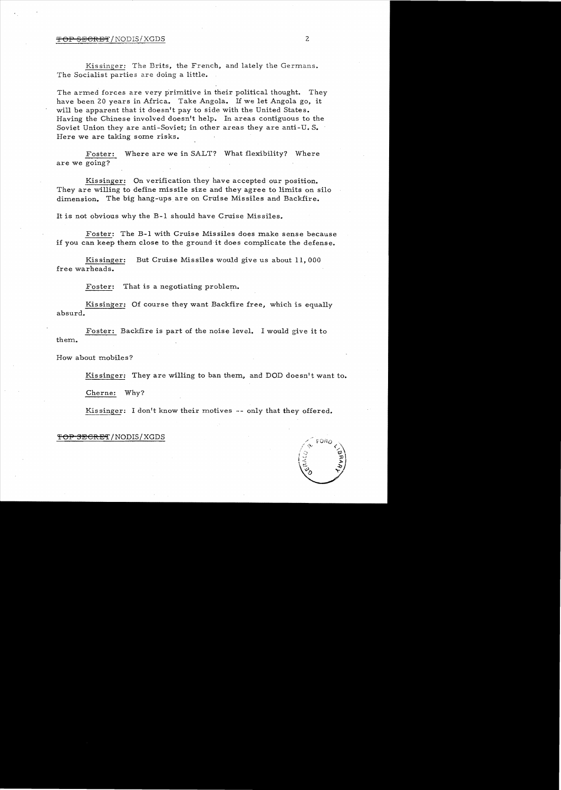# $\overline{FOP}$  SECRET/NODIS/XGDS 2

Kis singer: The Brits, the French, and lately the Germans. The Socialist parties are doing a little.

The armed forces are very primitive in their political thought. They have been 20 years in Africa. Take Angola. If we let Angola go, it will be apparent that it doesn't pay to side with the United States. Having the Chinese involved doesn't help. In areas contiguous to the Soviet Union they are anti-Soviet; in other areas they are anti-U. S. Here we are taking some risks.

Foster: Where are we in SALT? What flexibility? Where are we going?

Kissinger: On verification they have accepted our position. They are willing to define missile size and they agree to limits on silo dimension. The big hang-ups are on Cruise Missiles and Backfire.

It is not obvious why the B-1 should have Cruise Missiles.

Foster: The B-1 with Cruise Missiles does make sense because if you can keep them close to the ground·it does complicate the defense.

Kissinger: But Cruise Missiles would give us about 11,000 free warheads.

Foster: That is a negotiating problem.

Kissinger: Of course they want Backfire free, which is equally absurd.

Foster: Backfire is part of the noise level. I would give it to them.

How about mobiles?

Kissinger: They are willing to ban them, and DOD doesn't want to.

Cherne: Why?

Kissinger: I don't know their motives -- only that they offered.

## <del>TOP 3ECRET</del>/NODIS/XGDS

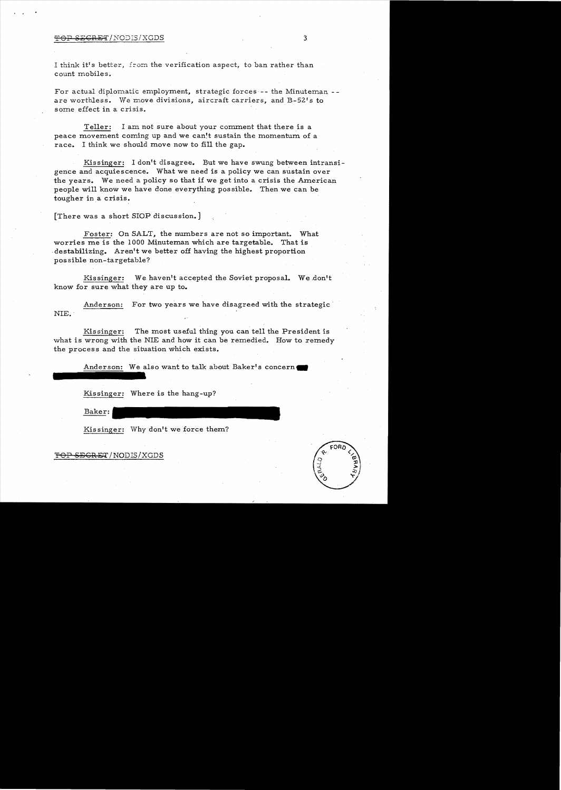#### TOP SECRET/NODIS/XGDS 3

I think it's better, from the verification aspect, to ban rather than count mobiles.

For actual diplomatic employment, strategic forces -- the Minuteman -are worthless. We move divisions, aircraft carriers, and B-52's to some effect in a crisis.

Teller: I am not sure about your comment that there is a peace movement coming up and we can!t sustain the momentum of a race. I think we should move now to fill the gap.

Kissinger: I don't disagree. But we have swung between intransigence and acquiescence. What we need is a policy we can sustain over the years. We need a policy so that if we get into a crisis the American people will know we have done everything possible. Then we can be tougher in a crisis.

[There was a short SlOP discussion.]

Foster: On SALT, the numbers are not so important. What worries me is the 1000 Minuteman which are targetable. That is .destabilizing. Aren't we better off having the highest proportion possible non-targetable?

Kissinger: We haven't accepted the Soviet proposal. We don't know for sure what they are up to.

Anderson: For two years we have disagreed with the strategic' NIE..

Kissinger: The most useful thing you can tell the President is what is wrong with the NIE and how it can be remedied. How to remedy the process and the situation which exists.

Anderson: We also want to talk about Baker's concern.

Kissinger: Where is the hang-up?

Baker:

Kis singer: Why don't we force them?

 $S$ EGRET/NODIS/XGDS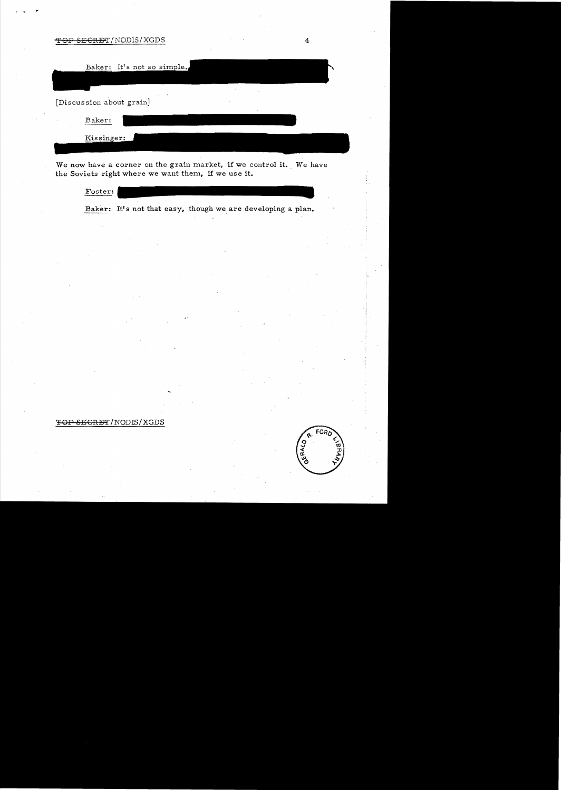-'fOP 8EGRE'T /NODIS/XGDS 4

| Baker: It's not so simple.               |  |
|------------------------------------------|--|
| $\mathbf{x}$<br>[Discussion about grain] |  |
| Baker:                                   |  |
| Kissinger:                               |  |

We now have a corner on the grain market, if we control it. We have the Soviets right where we want them, if we use it.

| Foster: |                                                             |  |  |
|---------|-------------------------------------------------------------|--|--|
|         | Baker: It's not that easy, though we are developing a plan. |  |  |

TOP SEGRET/NODIS/XGDS



. , i